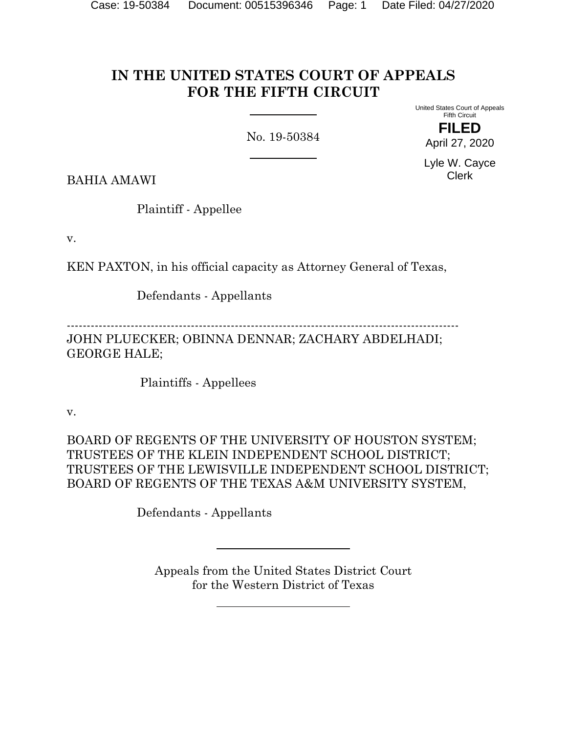# **IN THE UNITED STATES COURT OF APPEALS FOR THE FIFTH CIRCUIT**

No. 19-50384

United States Court of Appeals Fifth Circuit

**FILED** April 27, 2020

Lyle W. Cayce Clerk

BAHIA AMAWI

Plaintiff - Appellee

v.

KEN PAXTON, in his official capacity as Attorney General of Texas,

Defendants - Appellants

-------------------------------------------------------------------------------------------------- JOHN PLUECKER; OBINNA DENNAR; ZACHARY ABDELHADI; GEORGE HALE;

Plaintiffs - Appellees

v.

BOARD OF REGENTS OF THE UNIVERSITY OF HOUSTON SYSTEM; TRUSTEES OF THE KLEIN INDEPENDENT SCHOOL DISTRICT; TRUSTEES OF THE LEWISVILLE INDEPENDENT SCHOOL DISTRICT; BOARD OF REGENTS OF THE TEXAS A&M UNIVERSITY SYSTEM,

Defendants - Appellants

Appeals from the United States District Court for the Western District of Texas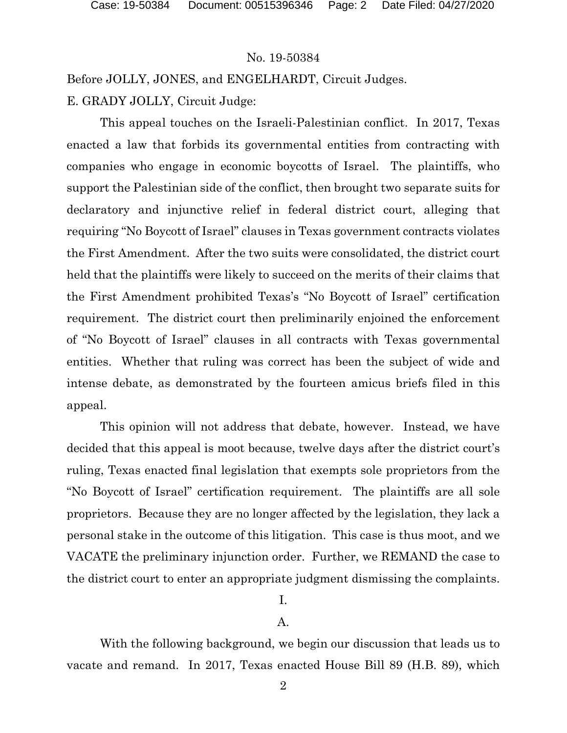Before JOLLY, JONES, and ENGELHARDT, Circuit Judges.

E. GRADY JOLLY, Circuit Judge:

This appeal touches on the Israeli-Palestinian conflict. In 2017, Texas enacted a law that forbids its governmental entities from contracting with companies who engage in economic boycotts of Israel. The plaintiffs, who support the Palestinian side of the conflict, then brought two separate suits for declaratory and injunctive relief in federal district court, alleging that requiring "No Boycott of Israel" clauses in Texas government contracts violates the First Amendment. After the two suits were consolidated, the district court held that the plaintiffs were likely to succeed on the merits of their claims that the First Amendment prohibited Texas's "No Boycott of Israel" certification requirement. The district court then preliminarily enjoined the enforcement of "No Boycott of Israel" clauses in all contracts with Texas governmental entities. Whether that ruling was correct has been the subject of wide and intense debate, as demonstrated by the fourteen amicus briefs filed in this appeal.

This opinion will not address that debate, however. Instead, we have decided that this appeal is moot because, twelve days after the district court's ruling, Texas enacted final legislation that exempts sole proprietors from the "No Boycott of Israel" certification requirement. The plaintiffs are all sole proprietors. Because they are no longer affected by the legislation, they lack a personal stake in the outcome of this litigation. This case is thus moot, and we VACATE the preliminary injunction order. Further, we REMAND the case to the district court to enter an appropriate judgment dismissing the complaints.

## I.

## A.

With the following background, we begin our discussion that leads us to vacate and remand. In 2017, Texas enacted House Bill 89 (H.B. 89), which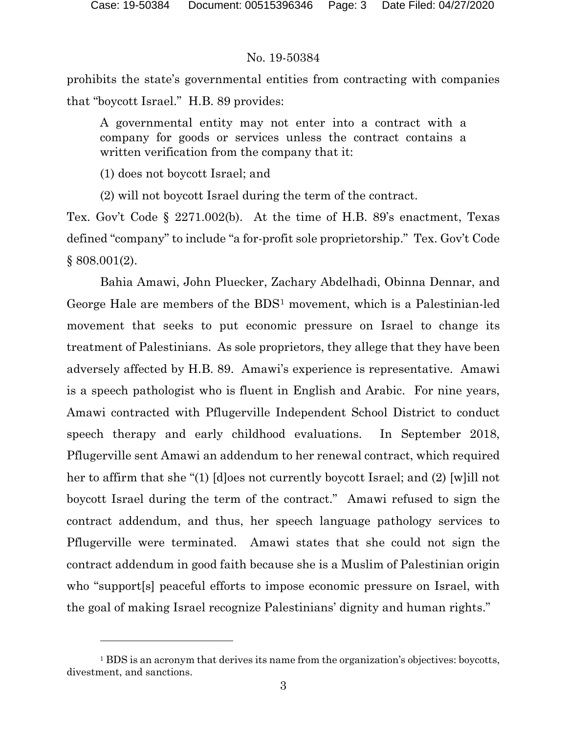prohibits the state's governmental entities from contracting with companies that "boycott Israel." H.B. 89 provides:

A governmental entity may not enter into a contract with a company for goods or services unless the contract contains a written verification from the company that it:

(1) does not boycott Israel; and

(2) will not boycott Israel during the term of the contract.

Tex. Gov't Code § 2271.002(b). At the time of H.B. 89's enactment, Texas defined "company" to include "a for-profit sole proprietorship." Tex. Gov't Code § 808.001(2).

Bahia Amawi, John Pluecker, Zachary Abdelhadi, Obinna Dennar, and George Hale are members of the BDS[1](#page-2-0) movement, which is a Palestinian-led movement that seeks to put economic pressure on Israel to change its treatment of Palestinians. As sole proprietors, they allege that they have been adversely affected by H.B. 89. Amawi's experience is representative. Amawi is a speech pathologist who is fluent in English and Arabic. For nine years, Amawi contracted with Pflugerville Independent School District to conduct speech therapy and early childhood evaluations. In September 2018, Pflugerville sent Amawi an addendum to her renewal contract, which required her to affirm that she "(1) [d]oes not currently boycott Israel; and (2) [w]ill not boycott Israel during the term of the contract." Amawi refused to sign the contract addendum, and thus, her speech language pathology services to Pflugerville were terminated. Amawi states that she could not sign the contract addendum in good faith because she is a Muslim of Palestinian origin who "support[s] peaceful efforts to impose economic pressure on Israel, with the goal of making Israel recognize Palestinians' dignity and human rights."

<span id="page-2-0"></span><sup>&</sup>lt;sup>1</sup> BDS is an acronym that derives its name from the organization's objectives: boycotts, divestment, and sanctions.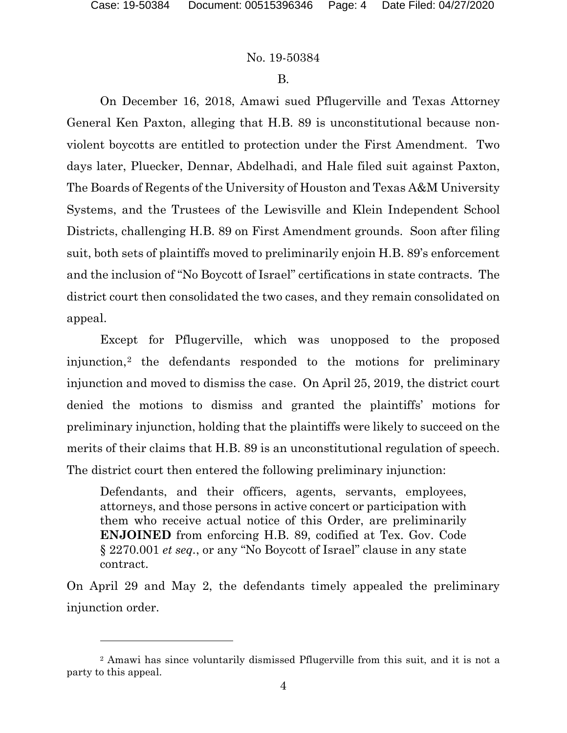#### B.

On December 16, 2018, Amawi sued Pflugerville and Texas Attorney General Ken Paxton, alleging that H.B. 89 is unconstitutional because nonviolent boycotts are entitled to protection under the First Amendment. Two days later, Pluecker, Dennar, Abdelhadi, and Hale filed suit against Paxton, The Boards of Regents of the University of Houston and Texas A&M University Systems, and the Trustees of the Lewisville and Klein Independent School Districts, challenging H.B. 89 on First Amendment grounds. Soon after filing suit, both sets of plaintiffs moved to preliminarily enjoin H.B. 89's enforcement and the inclusion of "No Boycott of Israel" certifications in state contracts. The district court then consolidated the two cases, and they remain consolidated on appeal.

Except for Pflugerville, which was unopposed to the proposed injunction,[2](#page-3-0) the defendants responded to the motions for preliminary injunction and moved to dismiss the case. On April 25, 2019, the district court denied the motions to dismiss and granted the plaintiffs' motions for preliminary injunction, holding that the plaintiffs were likely to succeed on the merits of their claims that H.B. 89 is an unconstitutional regulation of speech. The district court then entered the following preliminary injunction:

Defendants, and their officers, agents, servants, employees, attorneys, and those persons in active concert or participation with them who receive actual notice of this Order, are preliminarily **ENJOINED** from enforcing H.B. 89, codified at Tex. Gov. Code § 2270.001 *et seq.*, or any "No Boycott of Israel" clause in any state contract.

On April 29 and May 2, the defendants timely appealed the preliminary injunction order.

<span id="page-3-0"></span><sup>2</sup> Amawi has since voluntarily dismissed Pflugerville from this suit, and it is not a party to this appeal.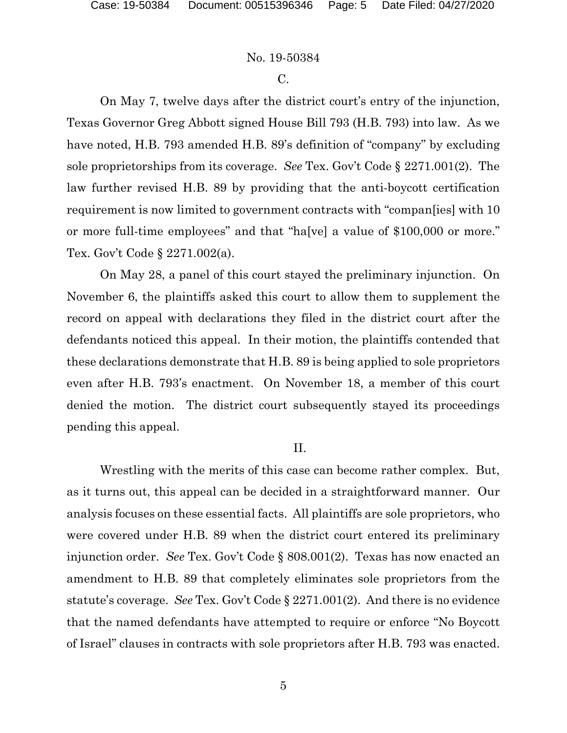#### C.

On May 7, twelve days after the district court's entry of the injunction, Texas Governor Greg Abbott signed House Bill 793 (H.B. 793) into law. As we have noted, H.B. 793 amended H.B. 89's definition of "company" by excluding sole proprietorships from its coverage. *See* Tex. Gov't Code § 2271.001(2). The law further revised H.B. 89 by providing that the anti-boycott certification requirement is now limited to government contracts with "compan[ies] with 10 or more full-time employees" and that "ha[ve] a value of \$100,000 or more." Tex. Gov't Code § 2271.002(a).

On May 28, a panel of this court stayed the preliminary injunction. On November 6, the plaintiffs asked this court to allow them to supplement the record on appeal with declarations they filed in the district court after the defendants noticed this appeal. In their motion, the plaintiffs contended that these declarations demonstrate that H.B. 89 is being applied to sole proprietors even after H.B. 793's enactment. On November 18, a member of this court denied the motion. The district court subsequently stayed its proceedings pending this appeal.

#### II.

Wrestling with the merits of this case can become rather complex. But, as it turns out, this appeal can be decided in a straightforward manner. Our analysis focuses on these essential facts. All plaintiffs are sole proprietors, who were covered under H.B. 89 when the district court entered its preliminary injunction order. *See* Tex. Gov't Code § 808.001(2). Texas has now enacted an amendment to H.B. 89 that completely eliminates sole proprietors from the statute's coverage. *See* Tex. Gov't Code § 2271.001(2). And there is no evidence that the named defendants have attempted to require or enforce "No Boycott of Israel" clauses in contracts with sole proprietors after H.B. 793 was enacted.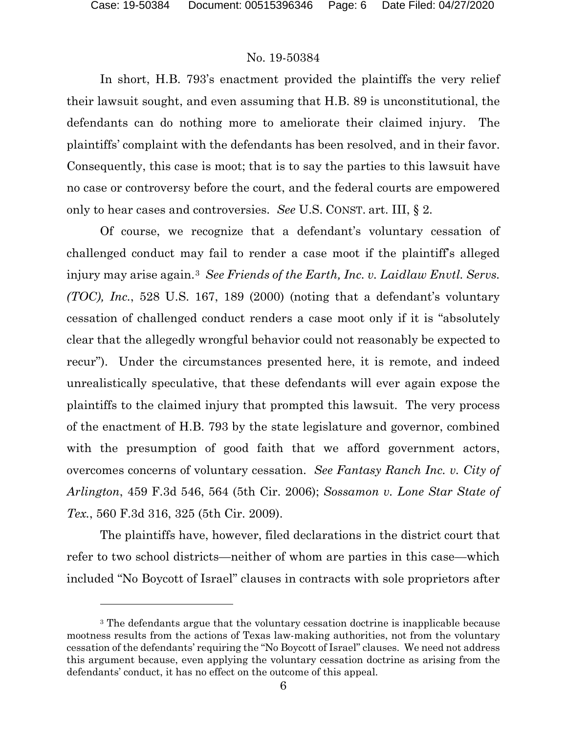In short, H.B. 793's enactment provided the plaintiffs the very relief their lawsuit sought, and even assuming that H.B. 89 is unconstitutional, the defendants can do nothing more to ameliorate their claimed injury. The plaintiffs' complaint with the defendants has been resolved, and in their favor. Consequently, this case is moot; that is to say the parties to this lawsuit have no case or controversy before the court, and the federal courts are empowered only to hear cases and controversies. *See* U.S. CONST. art. III, § 2.

Of course, we recognize that a defendant's voluntary cessation of challenged conduct may fail to render a case moot if the plaintiff's alleged injury may arise again.[3](#page-5-0) *See Friends of the Earth, Inc. v. Laidlaw Envtl. Servs. (TOC), Inc.*, 528 U.S. 167, 189 (2000) (noting that a defendant's voluntary cessation of challenged conduct renders a case moot only if it is "absolutely clear that the allegedly wrongful behavior could not reasonably be expected to recur"). Under the circumstances presented here, it is remote, and indeed unrealistically speculative, that these defendants will ever again expose the plaintiffs to the claimed injury that prompted this lawsuit. The very process of the enactment of H.B. 793 by the state legislature and governor, combined with the presumption of good faith that we afford government actors, overcomes concerns of voluntary cessation. *See Fantasy Ranch Inc. v. City of Arlington*, 459 F.3d 546, 564 (5th Cir. 2006); *Sossamon v. Lone Star State of Tex.*, 560 F.3d 316, 325 (5th Cir. 2009).

The plaintiffs have, however, filed declarations in the district court that refer to two school districts—neither of whom are parties in this case—which included "No Boycott of Israel" clauses in contracts with sole proprietors after

<span id="page-5-0"></span><sup>3</sup> The defendants argue that the voluntary cessation doctrine is inapplicable because mootness results from the actions of Texas law-making authorities, not from the voluntary cessation of the defendants' requiring the "No Boycott of Israel" clauses. We need not address this argument because, even applying the voluntary cessation doctrine as arising from the defendants' conduct, it has no effect on the outcome of this appeal.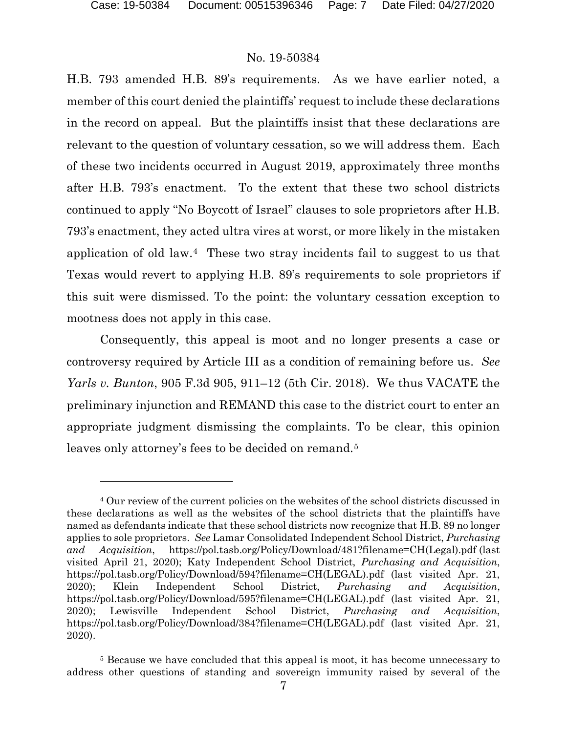H.B. 793 amended H.B. 89's requirements. As we have earlier noted, a member of this court denied the plaintiffs' request to include these declarations in the record on appeal. But the plaintiffs insist that these declarations are relevant to the question of voluntary cessation, so we will address them. Each of these two incidents occurred in August 2019, approximately three months after H.B. 793's enactment. To the extent that these two school districts continued to apply "No Boycott of Israel" clauses to sole proprietors after H.B. 793's enactment, they acted ultra vires at worst, or more likely in the mistaken application of old law.[4](#page-6-0) These two stray incidents fail to suggest to us that Texas would revert to applying H.B. 89's requirements to sole proprietors if this suit were dismissed. To the point: the voluntary cessation exception to mootness does not apply in this case.

Consequently, this appeal is moot and no longer presents a case or controversy required by Article III as a condition of remaining before us. *See Yarls v. Bunton*, 905 F.3d 905, 911–12 (5th Cir. 2018). We thus VACATE the preliminary injunction and REMAND this case to the district court to enter an appropriate judgment dismissing the complaints. To be clear, this opinion leaves only attorney's fees to be decided on remand.<sup>[5](#page-6-1)</sup>

<span id="page-6-0"></span><sup>4</sup> Our review of the current policies on the websites of the school districts discussed in these declarations as well as the websites of the school districts that the plaintiffs have named as defendants indicate that these school districts now recognize that H.B. 89 no longer applies to sole proprietors. *See* Lamar Consolidated Independent School District, *Purchasing and Acquisition*, https://pol.tasb.org/Policy/Download/481?filename=CH(Legal).pdf (last visited April 21, 2020); Katy Independent School District, *Purchasing and Acquisition*, https://pol.tasb.org/Policy/Download/594?filename=CH(LEGAL).pdf (last visited Apr. 21, 2020); Klein Independent School District, *Purchasing and Acquisition*, https://pol.tasb.org/Policy/Download/595?filename=CH(LEGAL).pdf (last visited Apr. 21, 2020); Lewisville Independent School District, *Purchasing and Acquisition*, https://pol.tasb.org/Policy/Download/384?filename=CH(LEGAL).pdf (last visited Apr. 21, 2020).

<span id="page-6-1"></span><sup>5</sup> Because we have concluded that this appeal is moot, it has become unnecessary to address other questions of standing and sovereign immunity raised by several of the